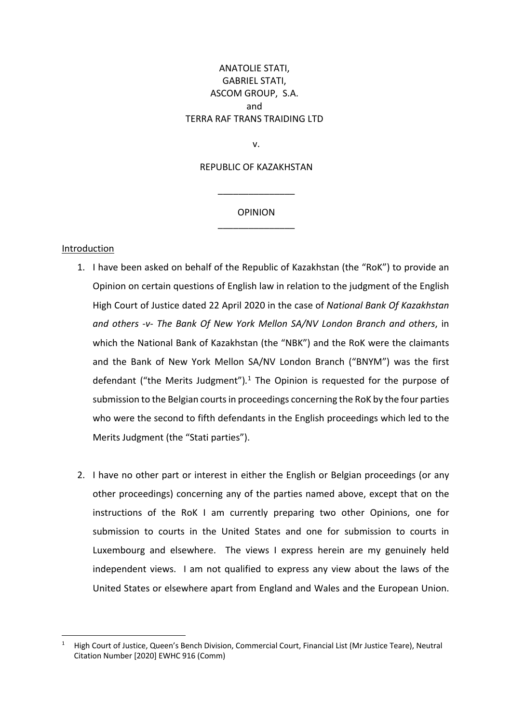# ANATOLIE STATI, GABRIEL STATI, ASCOM GROUP, S.A. and TERRA RAF TRANS TRAIDING LTD

v.

# REPUBLIC OF KAZAKHSTAN

# **OPINION** \_\_\_\_\_\_\_\_\_\_\_\_\_\_\_

\_\_\_\_\_\_\_\_\_\_\_\_\_\_\_

#### Introduction

- 1. I have been asked on behalf of the Republic of Kazakhstan (the "RoK") to provide an Opinion on certain questions of English law in relation to the judgment of the English High Court of Justice dated 22 April 2020 in the case of *National Bank Of Kazakhstan and others -v- The Bank Of New York Mellon SA/NV London Branch and others*, in which the National Bank of Kazakhstan (the "NBK") and the RoK were the claimants and the Bank of New York Mellon SA/NV London Branch ("BNYM") was the first defendant ("the Merits Judgment")*.* <sup>1</sup> The Opinion is requested for the purpose of submission to the Belgian courts in proceedings concerning the RoK by the four parties who were the second to fifth defendants in the English proceedings which led to the Merits Judgment (the "Stati parties").
- 2. I have no other part or interest in either the English or Belgian proceedings (or any other proceedings) concerning any of the parties named above, except that on the instructions of the RoK I am currently preparing two other Opinions, one for submission to courts in the United States and one for submission to courts in Luxembourg and elsewhere. The views I express herein are my genuinely held independent views. I am not qualified to express any view about the laws of the United States or elsewhere apart from England and Wales and the European Union.

<sup>1</sup> High Court of Justice, Queen's Bench Division, Commercial Court, Financial List (Mr Justice Teare), Neutral Citation Number [2020] EWHC 916 (Comm)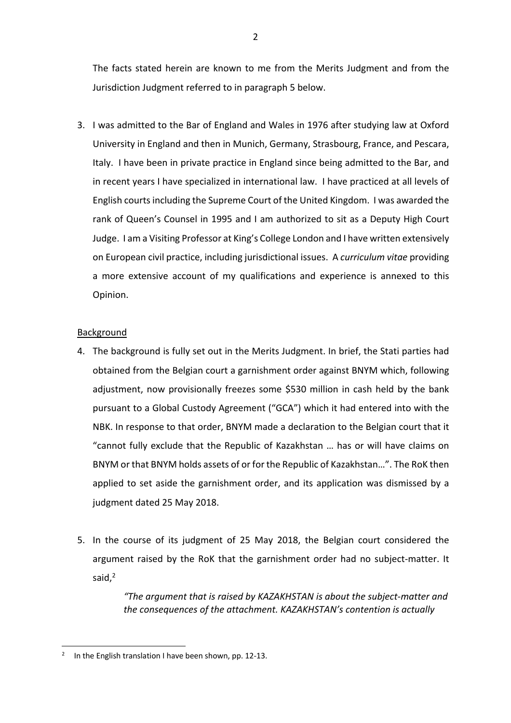The facts stated herein are known to me from the Merits Judgment and from the Jurisdiction Judgment referred to in paragraph 5 below.

3. I was admitted to the Bar of England and Wales in 1976 after studying law at Oxford University in England and then in Munich, Germany, Strasbourg, France, and Pescara, Italy. I have been in private practice in England since being admitted to the Bar, and in recent years I have specialized in international law. I have practiced at all levels of English courts including the Supreme Court of the United Kingdom. I was awarded the rank of Queen's Counsel in 1995 and I am authorized to sit as a Deputy High Court Judge. I am a Visiting Professor at King's College London and I have written extensively on European civil practice, including jurisdictional issues. A *curriculum vitae* providing a more extensive account of my qualifications and experience is annexed to this Opinion.

# **Background**

- 4. The background is fully set out in the Merits Judgment. In brief, the Stati parties had obtained from the Belgian court a garnishment order against BNYM which, following adjustment, now provisionally freezes some \$530 million in cash held by the bank pursuant to a Global Custody Agreement ("GCA") which it had entered into with the NBK. In response to that order, BNYM made a declaration to the Belgian court that it "cannot fully exclude that the Republic of Kazakhstan … has or will have claims on BNYM or that BNYM holds assets of or for the Republic of Kazakhstan…". The RoK then applied to set aside the garnishment order, and its application was dismissed by a judgment dated 25 May 2018.
- 5. In the course of its judgment of 25 May 2018, the Belgian court considered the argument raised by the RoK that the garnishment order had no subject-matter. It said, 2

*"The argument that is raised by KAZAKHSTAN is about the subject-matter and the consequences of the attachment. KAZAKHSTAN's contention is actually* 

<sup>&</sup>lt;sup>2</sup> In the English translation I have been shown, pp. 12-13.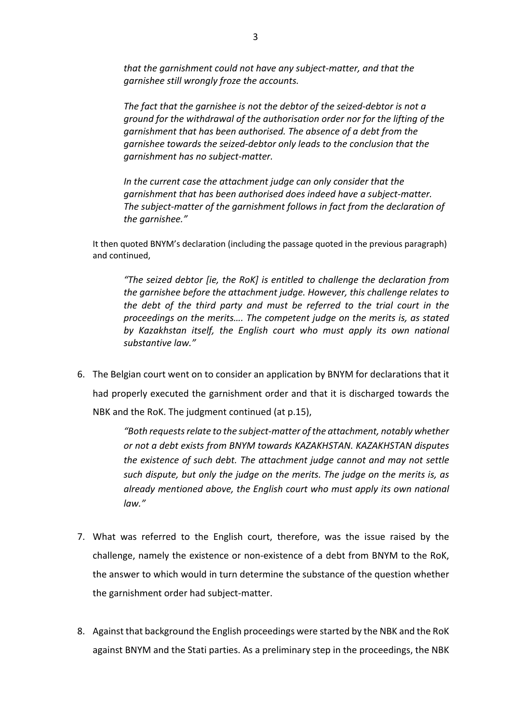*that the garnishment could not have any subject-matter, and that the garnishee still wrongly froze the accounts.* 

*The fact that the garnishee is not the debtor of the seized-debtor is not a ground for the withdrawal of the authorisation order nor for the lifting of the garnishment that has been authorised. The absence of a debt from the garnishee towards the seized-debtor only leads to the conclusion that the garnishment has no subject-matter.* 

*In the current case the attachment judge can only consider that the garnishment that has been authorised does indeed have a subject-matter. The subject-matter of the garnishment follows in fact from the declaration of the garnishee."*

It then quoted BNYM's declaration (including the passage quoted in the previous paragraph) and continued,

*"The seized debtor [ie, the RoK] is entitled to challenge the declaration from the garnishee before the attachment judge. However, this challenge relates to the debt of the third party and must be referred to the trial court in the proceedings on the merits…. The competent judge on the merits is, as stated by Kazakhstan itself, the English court who must apply its own national substantive law."* 

6. The Belgian court went on to consider an application by BNYM for declarations that it had properly executed the garnishment order and that it is discharged towards the NBK and the RoK. The judgment continued (at p.15),

> *"Both requests relate to the subject-matter of the attachment, notably whether or not a debt exists from BNYM towards KAZAKHSTAN. KAZAKHSTAN disputes the existence of such debt. The attachment judge cannot and may not settle such dispute, but only the judge on the merits. The judge on the merits is, as already mentioned above, the English court who must apply its own national law."*

- 7. What was referred to the English court, therefore, was the issue raised by the challenge, namely the existence or non-existence of a debt from BNYM to the RoK, the answer to which would in turn determine the substance of the question whether the garnishment order had subject-matter.
- 8. Against that background the English proceedings were started by the NBK and the RoK against BNYM and the Stati parties. As a preliminary step in the proceedings, the NBK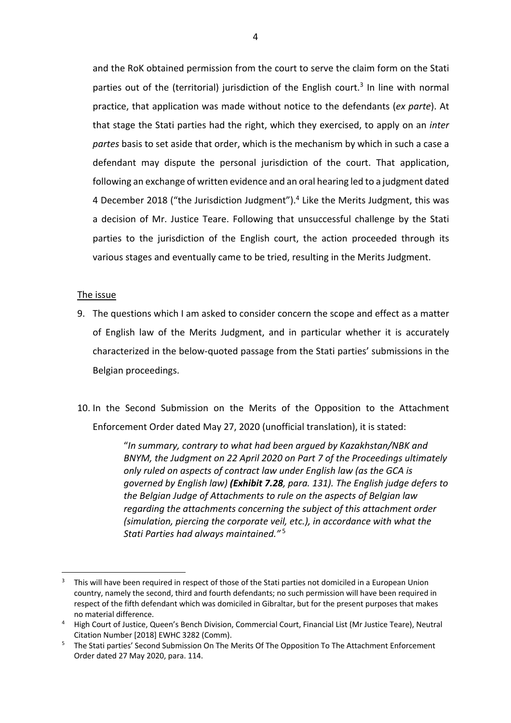and the RoK obtained permission from the court to serve the claim form on the Stati parties out of the (territorial) jurisdiction of the English court.<sup>3</sup> In line with normal practice, that application was made without notice to the defendants (*ex parte*). At that stage the Stati parties had the right, which they exercised, to apply on an *inter partes* basis to set aside that order, which is the mechanism by which in such a case a defendant may dispute the personal jurisdiction of the court. That application, following an exchange of written evidence and an oral hearing led to a judgment dated 4 December 2018 ("the Jurisdiction Judgment").4 Like the Merits Judgment, this was a decision of Mr. Justice Teare. Following that unsuccessful challenge by the Stati parties to the jurisdiction of the English court, the action proceeded through its various stages and eventually came to be tried, resulting in the Merits Judgment.

#### The issue

- 9. The questions which I am asked to consider concern the scope and effect as a matter of English law of the Merits Judgment, and in particular whether it is accurately characterized in the below-quoted passage from the Stati parties' submissions in the Belgian proceedings.
- 10. In the Second Submission on the Merits of the Opposition to the Attachment Enforcement Order dated May 27, 2020 (unofficial translation), it is stated:

"*In summary, contrary to what had been argued by Kazakhstan/NBK and BNYM, the Judgment on 22 April 2020 on Part 7 of the Proceedings ultimately only ruled on aspects of contract law under English law (as the GCA is governed by English law) (Exhibit 7.28, para. 131). The English judge defers to the Belgian Judge of Attachments to rule on the aspects of Belgian law regarding the attachments concerning the subject of this attachment order (simulation, piercing the corporate veil, etc.), in accordance with what the Stati Parties had always maintained."* <sup>5</sup>

<sup>&</sup>lt;sup>3</sup> This will have been required in respect of those of the Stati parties not domiciled in a European Union country, namely the second, third and fourth defendants; no such permission will have been required in respect of the fifth defendant which was domiciled in Gibraltar, but for the present purposes that makes no material difference.<br>High Court of Justice, Queen's Bench Division, Commercial Court, Financial List (Mr Justice Teare), Neutral

Citation Number [2018] EWHC 3282 (Comm).

<sup>5</sup> The Stati parties' Second Submission On The Merits Of The Opposition To The Attachment Enforcement Order dated 27 May 2020, para. 114.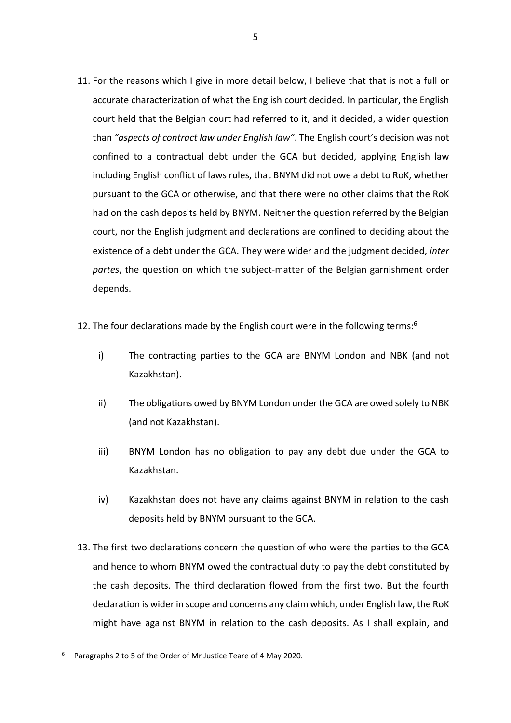- 11. For the reasons which I give in more detail below, I believe that that is not a full or accurate characterization of what the English court decided. In particular, the English court held that the Belgian court had referred to it, and it decided, a wider question than *"aspects of contract law under English law"*. The English court's decision was not confined to a contractual debt under the GCA but decided, applying English law including English conflict of laws rules, that BNYM did not owe a debt to RoK, whether pursuant to the GCA or otherwise, and that there were no other claims that the RoK had on the cash deposits held by BNYM. Neither the question referred by the Belgian court, nor the English judgment and declarations are confined to deciding about the existence of a debt under the GCA. They were wider and the judgment decided, *inter partes*, the question on which the subject-matter of the Belgian garnishment order depends.
- 12. The four declarations made by the English court were in the following terms: $6$ 
	- i) The contracting parties to the GCA are BNYM London and NBK (and not Kazakhstan).
	- ii) The obligations owed by BNYM London under the GCA are owed solely to NBK (and not Kazakhstan).
	- iii) BNYM London has no obligation to pay any debt due under the GCA to Kazakhstan.
	- iv) Kazakhstan does not have any claims against BNYM in relation to the cash deposits held by BNYM pursuant to the GCA.
- 13. The first two declarations concern the question of who were the parties to the GCA and hence to whom BNYM owed the contractual duty to pay the debt constituted by the cash deposits. The third declaration flowed from the first two. But the fourth declaration is wider in scope and concerns any claim which, under English law, the RoK might have against BNYM in relation to the cash deposits. As I shall explain, and

<sup>6</sup> Paragraphs 2 to 5 of the Order of Mr Justice Teare of 4 May 2020.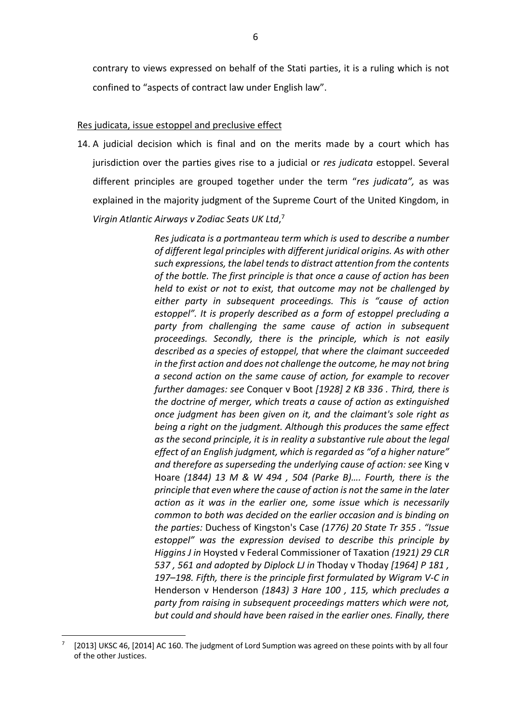contrary to views expressed on behalf of the Stati parties, it is a ruling which is not confined to "aspects of contract law under English law".

#### Res judicata, issue estoppel and preclusive effect

14. A judicial decision which is final and on the merits made by a court which has jurisdiction over the parties gives rise to a judicial or *res judicata* estoppel. Several different principles are grouped together under the term "*res judicata",* as was explained in the majority judgment of the Supreme Court of the United Kingdom, in *Virgin Atlantic Airways v Zodiac Seats UK Ltd*, 7

> *Res judicata is a portmanteau term which is used to describe a number of different legal principles with different juridical origins. As with other such expressions, the label tends to distract attention from the contents of the bottle. The first principle is that once a cause of action has been held to exist or not to exist, that outcome may not be challenged by either party in subsequent proceedings. This is "cause of action estoppel". It is properly described as a form of estoppel precluding a party from challenging the same cause of action in subsequent proceedings. Secondly, there is the principle, which is not easily described as a species of estoppel, that where the claimant succeeded in the first action and does not challenge the outcome, he may not bring a second action on the same cause of action, for example to recover further damages: see* Conquer v Boot *[1928] 2 KB 336 . Third, there is the doctrine of merger, which treats a cause of action as extinguished once judgment has been given on it, and the claimant's sole right as being a right on the judgment. Although this produces the same effect as the second principle, it is in reality a substantive rule about the legal effect of an English judgment, which is regarded as "of a higher nature" and therefore as superseding the underlying cause of action: see* King v Hoare *(1844) 13 M & W 494 , 504 (Parke B)…. Fourth, there is the principle that even where the cause of action is not the same in the later action as it was in the earlier one, some issue which is necessarily common to both was decided on the earlier occasion and is binding on the parties:* Duchess of Kingston's Case *(1776) 20 State Tr 355 . "Issue estoppel" was the expression devised to describe this principle by Higgins J in* Hoysted v Federal Commissioner of Taxation *(1921) 29 CLR 537 , 561 and adopted by Diplock LJ in* Thoday v Thoday *[1964] P 181 , 197–198. Fifth, there is the principle first formulated by Wigram V-C in*  Henderson v Henderson *(1843) 3 Hare 100 , 115, which precludes a party from raising in subsequent proceedings matters which were not, but could and should have been raised in the earlier ones. Finally, there*

<sup>[2013]</sup> UKSC 46, [2014] AC 160. The judgment of Lord Sumption was agreed on these points with by all four of the other Justices.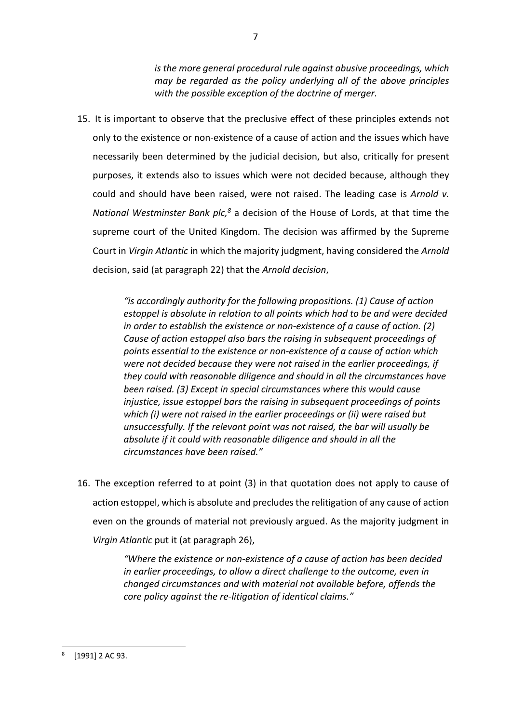*is the more general procedural rule against abusive proceedings, which may be regarded as the policy underlying all of the above principles with the possible exception of the doctrine of merger.*

15. It is important to observe that the preclusive effect of these principles extends not only to the existence or non-existence of a cause of action and the issues which have necessarily been determined by the judicial decision, but also, critically for present purposes, it extends also to issues which were not decided because, although they could and should have been raised, were not raised. The leading case is *Arnold v. National Westminster Bank plc,8* a decision of the House of Lords, at that time the supreme court of the United Kingdom. The decision was affirmed by the Supreme Court in *Virgin Atlantic* in which the majority judgment, having considered the *Arnold* decision, said (at paragraph 22) that the *Arnold decision*,

> *"is accordingly authority for the following propositions. (1) Cause of action estoppel is absolute in relation to all points which had to be and were decided in order to establish the existence or non-existence of a cause of action. (2) Cause of action estoppel also bars the raising in subsequent proceedings of points essential to the existence or non-existence of a cause of action which were not decided because they were not raised in the earlier proceedings, if they could with reasonable diligence and should in all the circumstances have been raised. (3) Except in special circumstances where this would cause injustice, issue estoppel bars the raising in subsequent proceedings of points which (i) were not raised in the earlier proceedings or (ii) were raised but unsuccessfully. If the relevant point was not raised, the bar will usually be absolute if it could with reasonable diligence and should in all the circumstances have been raised."*

16. The exception referred to at point (3) in that quotation does not apply to cause of action estoppel, which is absolute and precludes the relitigation of any cause of action even on the grounds of material not previously argued. As the majority judgment in *Virgin Atlantic* put it (at paragraph 26),

> *"Where the existence or non-existence of a cause of action has been decided in earlier proceedings, to allow a direct challenge to the outcome, even in changed circumstances and with material not available before, offends the core policy against the re-litigation of identical claims."*

 $8$  [1991] 2 AC 93.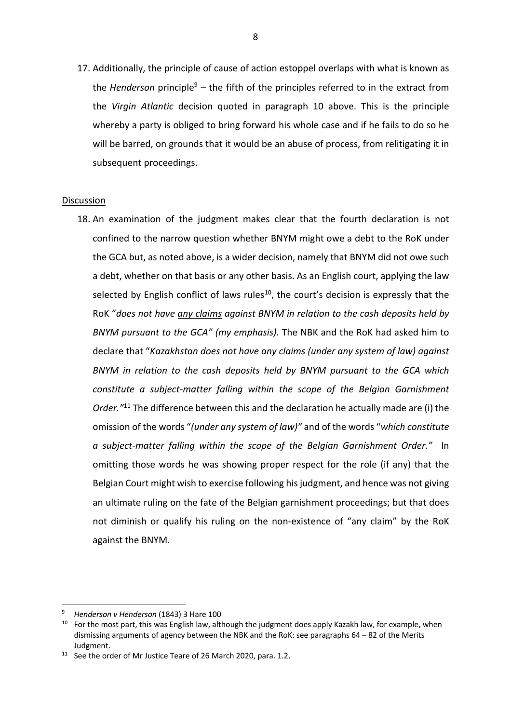17. Additionally, the principle of cause of action estoppel overlaps with what is known as the *Henderson* principle<sup>9</sup> – the fifth of the principles referred to in the extract from the *Virgin Atlantic* decision quoted in paragraph 10 above. This is the principle whereby a party is obliged to bring forward his whole case and if he fails to do so he will be barred, on grounds that it would be an abuse of process, from relitigating it in subsequent proceedings.

#### Discussion

18. An examination of the judgment makes clear that the fourth declaration is not confined to the narrow question whether BNYM might owe a debt to the RoK under the GCA but, as noted above, is a wider decision, namely that BNYM did not owe such a debt, whether on that basis or any other basis. As an English court, applying the law selected by English conflict of laws rules<sup>10</sup>, the court's decision is expressly that the RoK "*does not have any claims against BNYM in relation to the cash deposits held by BNYM pursuant to the GCA" (my emphasis).* The NBK and the RoK had asked him to declare that "*Kazakhstan does not have any claims (under any system of law) against BNYM in relation to the cash deposits held by BNYM pursuant to the GCA which constitute a subject-matter falling within the scope of the Belgian Garnishment Order."*<sup>11</sup> The difference between this and the declaration he actually made are (i) the omission of the words "*(under any system of law)"* and of the words "*which constitute a subject-matter falling within the scope of the Belgian Garnishment Order."* In omitting those words he was showing proper respect for the role (if any) that the Belgian Court might wish to exercise following his judgment, and hence was not giving an ultimate ruling on the fate of the Belgian garnishment proceedings; but that does not diminish or qualify his ruling on the non-existence of "any claim" by the RoK against the BNYM.

<sup>9</sup> *Henderson v Henderson* (1843) 3 Hare 100

<sup>&</sup>lt;sup>10</sup> For the most part, this was English law, although the judgment does apply Kazakh law, for example, when dismissing arguments of agency between the NBK and the RoK: see paragraphs 64 – 82 of the Merits Judgment.

 $11$  See the order of Mr Justice Teare of 26 March 2020, para. 1.2.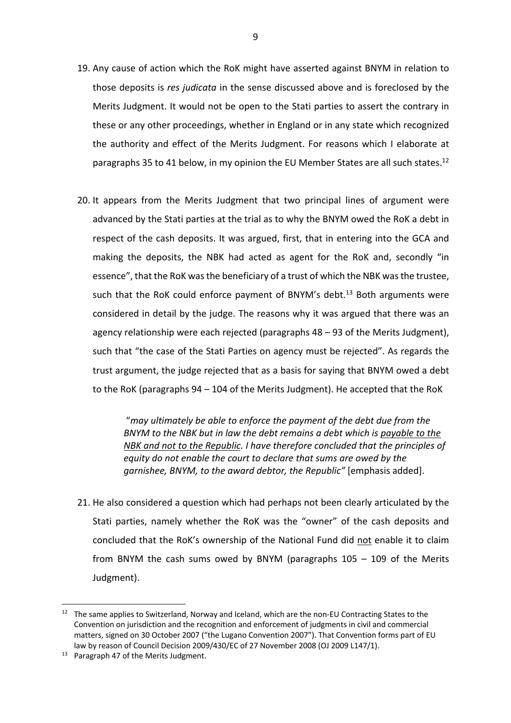- 19. Any cause of action which the RoK might have asserted against BNYM in relation to those deposits is *res judicata* in the sense discussed above and is foreclosed by the Merits Judgment. It would not be open to the Stati parties to assert the contrary in these or any other proceedings, whether in England or in any state which recognized the authority and effect of the Merits Judgment. For reasons which I elaborate at paragraphs 35 to 41 below, in my opinion the EU Member States are all such states.<sup>12</sup>
- 20. It appears from the Merits Judgment that two principal lines of argument were advanced by the Stati parties at the trial as to why the BNYM owed the RoK a debt in respect of the cash deposits. It was argued, first, that in entering into the GCA and making the deposits, the NBK had acted as agent for the RoK and, secondly "in essence", that the RoK was the beneficiary of a trust of which the NBK was the trustee, such that the RoK could enforce payment of BNYM's debt.<sup>13</sup> Both arguments were considered in detail by the judge. The reasons why it was argued that there was an agency relationship were each rejected (paragraphs 48 – 93 of the Merits Judgment), such that "the case of the Stati Parties on agency must be rejected". As regards the trust argument, the judge rejected that as a basis for saying that BNYM owed a debt to the RoK (paragraphs 94 – 104 of the Merits Judgment). He accepted that the RoK

"*may ultimately be able to enforce the payment of the debt due from the BNYM to the NBK but in law the debt remains a debt which is payable to the NBK and not to the Republic. I have therefore concluded that the principles of equity do not enable the court to declare that sums are owed by the garnishee, BNYM, to the award debtor, the Republic"* [emphasis added].

21. He also considered a question which had perhaps not been clearly articulated by the Stati parties, namely whether the RoK was the "owner" of the cash deposits and concluded that the RoK's ownership of the National Fund did not enable it to claim from BNYM the cash sums owed by BNYM (paragraphs 105 – 109 of the Merits Judgment).

 $12$  The same applies to Switzerland, Norway and Iceland, which are the non-EU Contracting States to the Convention on jurisdiction and the recognition and enforcement of judgments in civil and commercial matters, signed on 30 October 2007 ("the Lugano Convention 2007"). That Convention forms part of EU law by reason of Council Decision 2009/430/EC of 27 November 2008 (OJ 2009 L147/1).

<sup>&</sup>lt;sup>13</sup> Paragraph 47 of the Merits Judgment.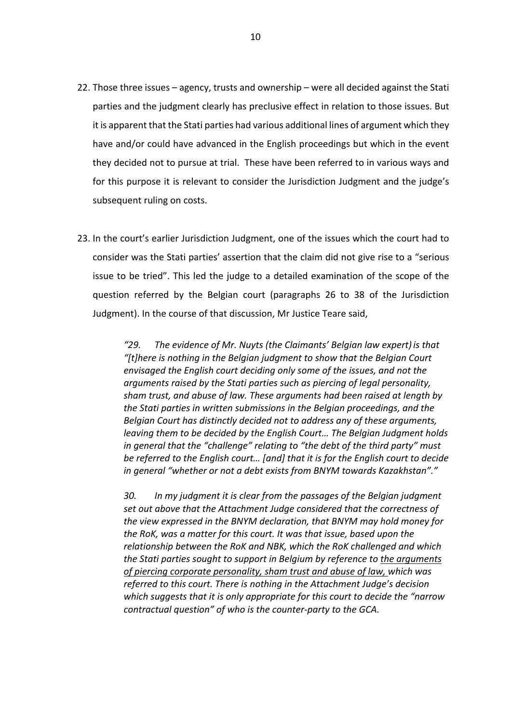- 22. Those three issues agency, trusts and ownership were all decided against the Stati parties and the judgment clearly has preclusive effect in relation to those issues. But it is apparent that the Stati parties had various additional lines of argument which they have and/or could have advanced in the English proceedings but which in the event they decided not to pursue at trial. These have been referred to in various ways and for this purpose it is relevant to consider the Jurisdiction Judgment and the judge's subsequent ruling on costs.
- 23. In the court's earlier Jurisdiction Judgment, one of the issues which the court had to consider was the Stati parties' assertion that the claim did not give rise to a "serious issue to be tried". This led the judge to a detailed examination of the scope of the question referred by the Belgian court (paragraphs 26 to 38 of the Jurisdiction Judgment). In the course of that discussion, Mr Justice Teare said,

*"29. The evidence of Mr. Nuyts (the Claimants' Belgian law expert)is that "[t]here is nothing in the Belgian judgment to show that the Belgian Court envisaged the English court deciding only some of the issues, and not the arguments raised by the Stati parties such as piercing of legal personality, sham trust, and abuse of law. These arguments had been raised at length by the Stati parties in written submissions in the Belgian proceedings, and the Belgian Court has distinctly decided not to address any of these arguments, leaving them to be decided by the English Court… The Belgian Judgment holds in general that the "challenge" relating to "the debt of the third party" must be referred to the English court… [and] that it is for the English court to decide in general "whether or not a debt exists from BNYM towards Kazakhstan"."*

*30. In my judgment it is clear from the passages of the Belgian judgment set out above that the Attachment Judge considered that the correctness of the view expressed in the BNYM declaration, that BNYM may hold money for the RoK, was a matter for this court. It was that issue, based upon the relationship between the RoK and NBK, which the RoK challenged and which the Stati parties sought to support in Belgium by reference to the arguments of piercing corporate personality, sham trust and abuse of law, which was referred to this court. There is nothing in the Attachment Judge's decision which suggests that it is only appropriate for this court to decide the "narrow contractual question" of who is the counter-party to the GCA.*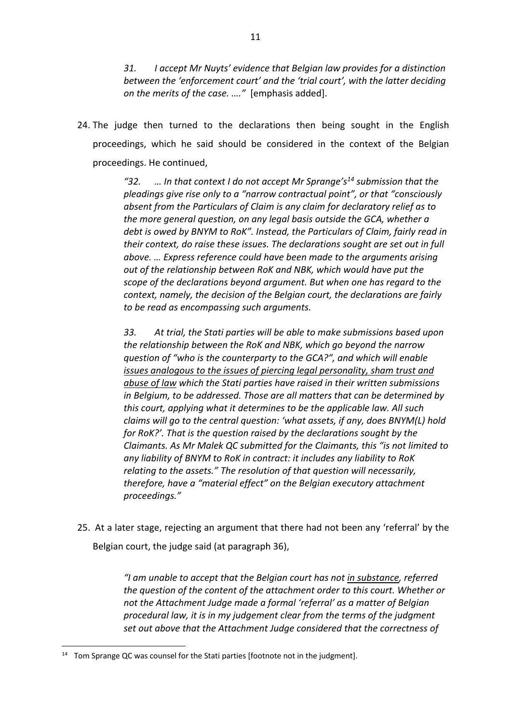*31. I accept Mr Nuyts' evidence that Belgian law provides for a distinction between the 'enforcement court' and the 'trial court', with the latter deciding on the merits of the case. …."* [emphasis added].

24. The judge then turned to the declarations then being sought in the English proceedings, which he said should be considered in the context of the Belgian proceedings. He continued,

> *"32. … In that context I do not accept Mr Sprange's14 submission that the pleadings give rise only to a "narrow contractual point", or that "consciously absent from the Particulars of Claim is any claim for declaratory relief as to the more general question, on any legal basis outside the GCA, whether a debt is owed by BNYM to RoK". Instead, the Particulars of Claim, fairly read in their context, do raise these issues. The declarations sought are set out in full above. … Express reference could have been made to the arguments arising out of the relationship between RoK and NBK, which would have put the scope of the declarations beyond argument. But when one has regard to the context, namely, the decision of the Belgian court, the declarations are fairly to be read as encompassing such arguments.*

> *33. At trial, the Stati parties will be able to make submissions based upon the relationship between the RoK and NBK, which go beyond the narrow question of "who is the counterparty to the GCA?", and which will enable issues analogous to the issues of piercing legal personality, sham trust and abuse of law which the Stati parties have raised in their written submissions in Belgium, to be addressed. Those are all matters that can be determined by this court, applying what it determines to be the applicable law. All such claims will go to the central question: 'what assets, if any, does BNYM(L) hold for RoK?'. That is the question raised by the declarations sought by the Claimants. As Mr Malek QC submitted for the Claimants, this "is not limited to any liability of BNYM to RoK in contract: it includes any liability to RoK relating to the assets." The resolution of that question will necessarily, therefore, have a "material effect" on the Belgian executory attachment proceedings."*

25. At a later stage, rejecting an argument that there had not been any 'referral' by the Belgian court, the judge said (at paragraph 36),

> *"I am unable to accept that the Belgian court has not in substance, referred the question of the content of the attachment order to this court. Whether or not the Attachment Judge made a formal 'referral' as a matter of Belgian procedural law, it is in my judgement clear from the terms of the judgment set out above that the Attachment Judge considered that the correctness of*

 $14$  Tom Sprange QC was counsel for the Stati parties [footnote not in the judgment].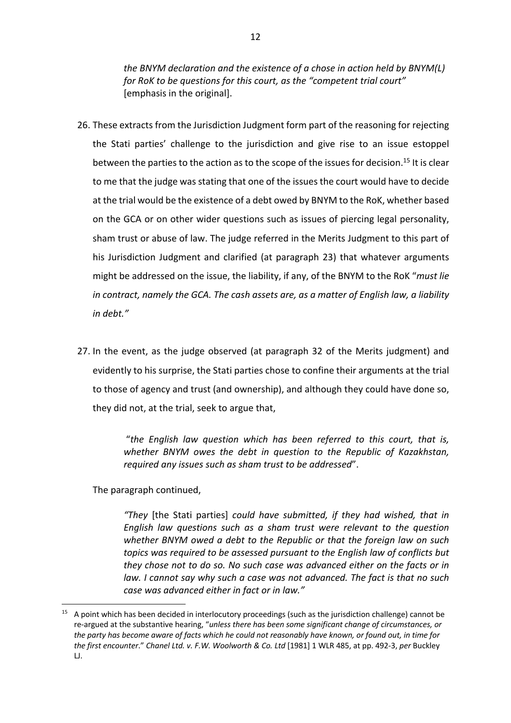*the BNYM declaration and the existence of a chose in action held by BNYM(L) for RoK to be questions for this court, as the "competent trial court"* [emphasis in the original].

- 26. These extracts from the Jurisdiction Judgment form part of the reasoning for rejecting the Stati parties' challenge to the jurisdiction and give rise to an issue estoppel between the parties to the action as to the scope of the issues for decision.<sup>15</sup> It is clear to me that the judge was stating that one of the issues the court would have to decide at the trial would be the existence of a debt owed by BNYM to the RoK, whether based on the GCA or on other wider questions such as issues of piercing legal personality, sham trust or abuse of law. The judge referred in the Merits Judgment to this part of his Jurisdiction Judgment and clarified (at paragraph 23) that whatever arguments might be addressed on the issue, the liability, if any, of the BNYM to the RoK "*must lie in contract, namely the GCA. The cash assets are, as a matter of English law, a liability in debt."*
- 27. In the event, as the judge observed (at paragraph 32 of the Merits judgment) and evidently to his surprise, the Stati parties chose to confine their arguments at the trial to those of agency and trust (and ownership), and although they could have done so, they did not, at the trial, seek to argue that,

"*the English law question which has been referred to this court, that is, whether BNYM owes the debt in question to the Republic of Kazakhstan, required any issues such as sham trust to be addressed*".

The paragraph continued,

*"They* [the Stati parties] *could have submitted, if they had wished, that in English law questions such as a sham trust were relevant to the question whether BNYM owed a debt to the Republic or that the foreign law on such topics was required to be assessed pursuant to the English law of conflicts but they chose not to do so. No such case was advanced either on the facts or in law. I cannot say why such a case was not advanced. The fact is that no such case was advanced either in fact or in law."* 

 $15$  A point which has been decided in interlocutory proceedings (such as the jurisdiction challenge) cannot be re-argued at the substantive hearing, "*unless there has been some significant change of circumstances, or the party has become aware of facts which he could not reasonably have known, or found out, in time for the first encounter*." *Chanel Ltd. v. F.W. Woolworth & Co. Ltd* [1981] 1 WLR 485, at pp. 492-3, *per* Buckley LJ.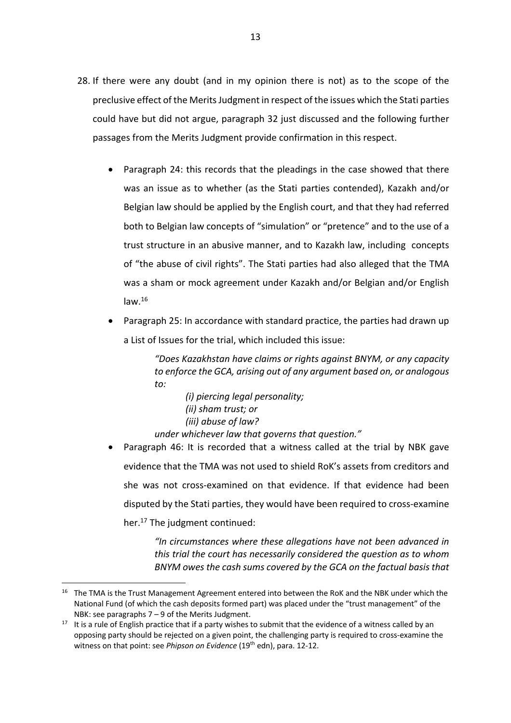- 28. If there were any doubt (and in my opinion there is not) as to the scope of the preclusive effect of the Merits Judgment in respect of the issues which the Stati parties could have but did not argue, paragraph 32 just discussed and the following further passages from the Merits Judgment provide confirmation in this respect.
	- Paragraph 24: this records that the pleadings in the case showed that there was an issue as to whether (as the Stati parties contended), Kazakh and/or Belgian law should be applied by the English court, and that they had referred both to Belgian law concepts of "simulation" or "pretence" and to the use of a trust structure in an abusive manner, and to Kazakh law, including concepts of "the abuse of civil rights". The Stati parties had also alleged that the TMA was a sham or mock agreement under Kazakh and/or Belgian and/or English  $law.<sup>16</sup>$
	- Paragraph 25: In accordance with standard practice, the parties had drawn up a List of Issues for the trial, which included this issue:

*"Does Kazakhstan have claims or rights against BNYM, or any capacity to enforce the GCA, arising out of any argument based on, or analogous to:*

*(i) piercing legal personality; (ii) sham trust; or (iii) abuse of law? under whichever law that governs that question."*

• Paragraph 46: It is recorded that a witness called at the trial by NBK gave evidence that the TMA was not used to shield RoK's assets from creditors and she was not cross-examined on that evidence. If that evidence had been disputed by the Stati parties, they would have been required to cross-examine her.<sup>17</sup> The judgment continued:

> *"In circumstances where these allegations have not been advanced in this trial the court has necessarily considered the question as to whom BNYM owes the cash sums covered by the GCA on the factual basis that*

<sup>&</sup>lt;sup>16</sup> The TMA is the Trust Management Agreement entered into between the RoK and the NBK under which the National Fund (of which the cash deposits formed part) was placed under the "trust management" of the NBK: see paragraphs 7 – 9 of the Merits Judgment.

 $17$  It is a rule of English practice that if a party wishes to submit that the evidence of a witness called by an opposing party should be rejected on a given point, the challenging party is required to cross-examine the witness on that point: see *Phipson on Evidence* (19<sup>th</sup> edn), para. 12-12.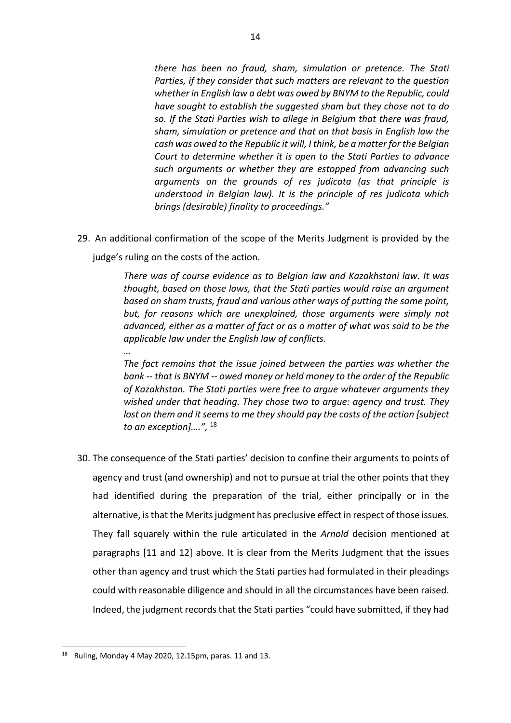*there has been no fraud, sham, simulation or pretence. The Stati Parties, if they consider that such matters are relevant to the question whether in English law a debt was owed by BNYM to the Republic, could have sought to establish the suggested sham but they chose not to do so. If the Stati Parties wish to allege in Belgium that there was fraud, sham, simulation or pretence and that on that basis in English law the cash was owed to the Republic it will, I think, be a matter for the Belgian Court to determine whether it is open to the Stati Parties to advance such arguments or whether they are estopped from advancing such arguments on the grounds of res judicata (as that principle is understood in Belgian law). It is the principle of res judicata which brings (desirable) finality to proceedings."*

29. An additional confirmation of the scope of the Merits Judgment is provided by the

judge's ruling on the costs of the action.

*…*

*There was of course evidence as to Belgian law and Kazakhstani law. It was thought, based on those laws, that the Stati parties would raise an argument based on sham trusts, fraud and various other ways of putting the same point, but, for reasons which are unexplained, those arguments were simply not advanced, either as a matter of fact or as a matter of what was said to be the applicable law under the English law of conflicts.*

*The fact remains that the issue joined between the parties was whether the bank -- that is BNYM -- owed money or held money to the order of the Republic of Kazakhstan. The Stati parties were free to argue whatever arguments they wished under that heading. They chose two to argue: agency and trust. They lost on them and it seems to me they should pay the costs of the action [subject to an exception]….",* <sup>18</sup>

30. The consequence of the Stati parties' decision to confine their arguments to points of agency and trust (and ownership) and not to pursue at trial the other points that they had identified during the preparation of the trial, either principally or in the alternative, is that the Merits judgment has preclusive effect in respect of those issues. They fall squarely within the rule articulated in the *Arnold* decision mentioned at paragraphs [11 and 12] above. It is clear from the Merits Judgment that the issues other than agency and trust which the Stati parties had formulated in their pleadings could with reasonable diligence and should in all the circumstances have been raised. Indeed, the judgment records that the Stati parties "could have submitted, if they had

 $18$  Ruling, Monday 4 May 2020, 12.15pm, paras, 11 and 13.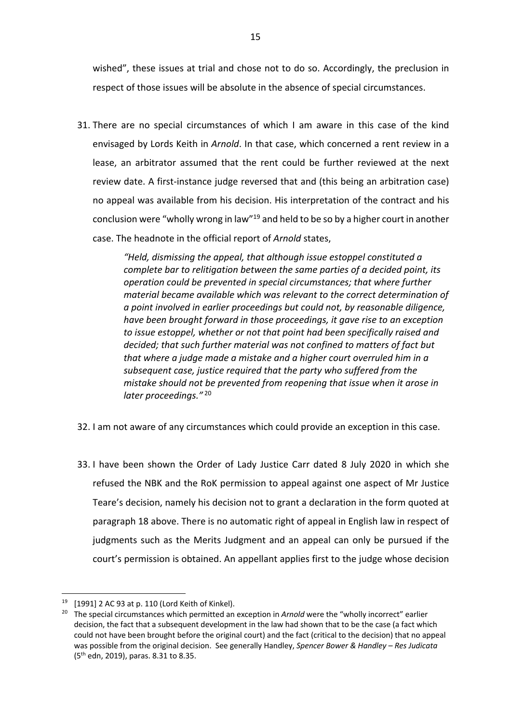wished", these issues at trial and chose not to do so. Accordingly, the preclusion in respect of those issues will be absolute in the absence of special circumstances.

31. There are no special circumstances of which I am aware in this case of the kind envisaged by Lords Keith in *Arnold*. In that case, which concerned a rent review in a lease, an arbitrator assumed that the rent could be further reviewed at the next review date. A first-instance judge reversed that and (this being an arbitration case) no appeal was available from his decision. His interpretation of the contract and his conclusion were "wholly wrong in law"19 and held to be so by a higher court in another case. The headnote in the official report of *Arnold* states,

> *"Held, dismissing the appeal, that although issue estoppel constituted a complete bar to relitigation between the same parties of a decided point, its operation could be prevented in special circumstances; that where further material became available which was relevant to the correct determination of a point involved in earlier proceedings but could not, by reasonable diligence, have been brought forward in those proceedings, it gave rise to an exception to issue estoppel, whether or not that point had been specifically raised and decided; that such further material was not confined to matters of fact but that where a judge made a mistake and a higher court overruled him in a subsequent case, justice required that the party who suffered from the mistake should not be prevented from reopening that issue when it arose in later proceedings."* <sup>20</sup>

- 32. I am not aware of any circumstances which could provide an exception in this case.
- 33. I have been shown the Order of Lady Justice Carr dated 8 July 2020 in which she refused the NBK and the RoK permission to appeal against one aspect of Mr Justice Teare's decision, namely his decision not to grant a declaration in the form quoted at paragraph 18 above. There is no automatic right of appeal in English law in respect of judgments such as the Merits Judgment and an appeal can only be pursued if the court's permission is obtained. An appellant applies first to the judge whose decision

 $19$  [1991] 2 AC 93 at p. 110 (Lord Keith of Kinkel).

<sup>&</sup>lt;sup>20</sup> The special circumstances which permitted an exception in *Arnold* were the "wholly incorrect" earlier decision, the fact that a subsequent development in the law had shown that to be the case (a fact which could not have been brought before the original court) and the fact (critical to the decision) that no appeal was possible from the original decision. See generally Handley, *Spencer Bower & Handley – Res Judicata*  (5th edn, 2019), paras. 8.31 to 8.35.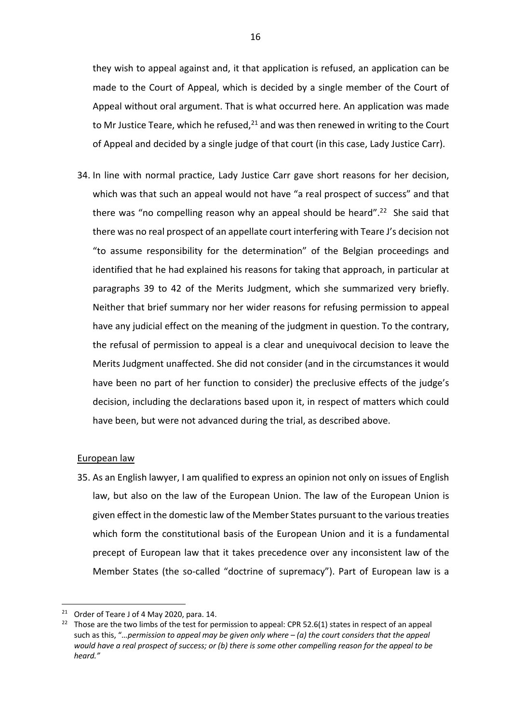they wish to appeal against and, it that application is refused, an application can be made to the Court of Appeal, which is decided by a single member of the Court of Appeal without oral argument. That is what occurred here. An application was made to Mr Justice Teare, which he refused, $21$  and was then renewed in writing to the Court of Appeal and decided by a single judge of that court (in this case, Lady Justice Carr).

34. In line with normal practice, Lady Justice Carr gave short reasons for her decision, which was that such an appeal would not have "a real prospect of success" and that there was "no compelling reason why an appeal should be heard".<sup>22</sup> She said that there was no real prospect of an appellate court interfering with Teare J's decision not "to assume responsibility for the determination" of the Belgian proceedings and identified that he had explained his reasons for taking that approach, in particular at paragraphs 39 to 42 of the Merits Judgment, which she summarized very briefly. Neither that brief summary nor her wider reasons for refusing permission to appeal have any judicial effect on the meaning of the judgment in question. To the contrary, the refusal of permission to appeal is a clear and unequivocal decision to leave the Merits Judgment unaffected. She did not consider (and in the circumstances it would have been no part of her function to consider) the preclusive effects of the judge's decision, including the declarations based upon it, in respect of matters which could have been, but were not advanced during the trial, as described above.

## European law

35. As an English lawyer, I am qualified to express an opinion not only on issues of English law, but also on the law of the European Union. The law of the European Union is given effect in the domestic law of the Member States pursuant to the various treaties which form the constitutional basis of the European Union and it is a fundamental precept of European law that it takes precedence over any inconsistent law of the Member States (the so-called "doctrine of supremacy"). Part of European law is a

<sup>&</sup>lt;sup>21</sup> Order of Teare J of 4 May 2020, para. 14.

<sup>&</sup>lt;sup>22</sup> Those are the two limbs of the test for permission to appeal: CPR 52.6(1) states in respect of an appeal such as this, "*…permission to appeal may be given only where – (a) the court considers that the appeal would have a real prospect of success; or (b) there is some other compelling reason for the appeal to be heard."*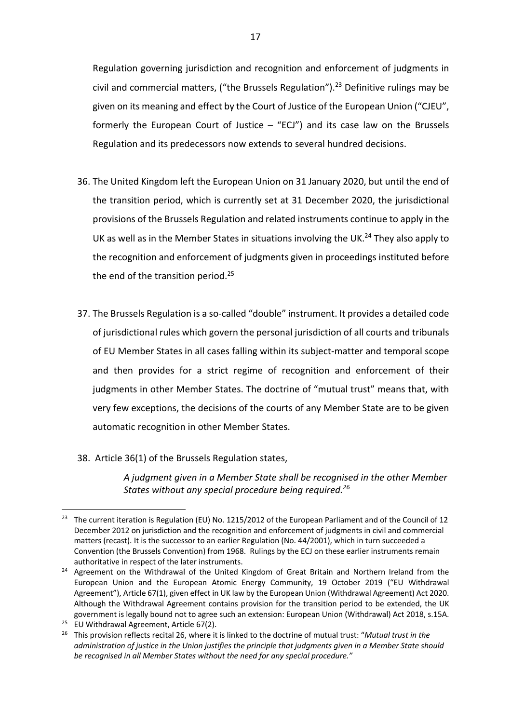Regulation governing jurisdiction and recognition and enforcement of judgments in civil and commercial matters, ("the Brussels Regulation").<sup>23</sup> Definitive rulings may be given on its meaning and effect by the Court of Justice of the European Union ("CJEU", formerly the European Court of Justice  $-$  "ECJ") and its case law on the Brussels Regulation and its predecessors now extends to several hundred decisions.

- 36. The United Kingdom left the European Union on 31 January 2020, but until the end of the transition period, which is currently set at 31 December 2020, the jurisdictional provisions of the Brussels Regulation and related instruments continue to apply in the UK as well as in the Member States in situations involving the UK.<sup>24</sup> They also apply to the recognition and enforcement of judgments given in proceedings instituted before the end of the transition period.<sup>25</sup>
- 37. The Brussels Regulation is a so-called "double" instrument. It provides a detailed code of jurisdictional rules which govern the personal jurisdiction of all courts and tribunals of EU Member States in all cases falling within its subject-matter and temporal scope and then provides for a strict regime of recognition and enforcement of their judgments in other Member States. The doctrine of "mutual trust" means that, with very few exceptions, the decisions of the courts of any Member State are to be given automatic recognition in other Member States.
- 38. Article 36(1) of the Brussels Regulation states,

*A judgment given in a Member State shall be recognised in the other Member States without any special procedure being required.26*

<sup>&</sup>lt;sup>23</sup> The current iteration is Regulation (EU) No. 1215/2012 of the European Parliament and of the Council of 12 December 2012 on jurisdiction and the recognition and enforcement of judgments in civil and commercial matters (recast). It is the successor to an earlier Regulation (No. 44/2001), which in turn succeeded a Convention (the Brussels Convention) from 1968. Rulings by the ECJ on these earlier instruments remain

authoritative in respect of the later instruments.<br><sup>24</sup> Agreement on the Withdrawal of the United Kingdom of Great Britain and Northern Ireland from the European Union and the European Atomic Energy Community, 19 October 2019 ("EU Withdrawal Agreement"), Article 67(1), given effect in UK law by the European Union (Withdrawal Agreement) Act 2020. Although the Withdrawal Agreement contains provision for the transition period to be extended, the UK government is legally bound not to agree such an extension: European Union (Withdrawal) Act 2018, s.15A. 25 EU Withdrawal Agreement, Article 67(2).

<sup>26</sup> This provision reflects recital 26, where it is linked to the doctrine of mutual trust: "*Mutual trust in the administration of justice in the Union justifies the principle that judgments given in a Member State should be recognised in all Member States without the need for any special procedure."*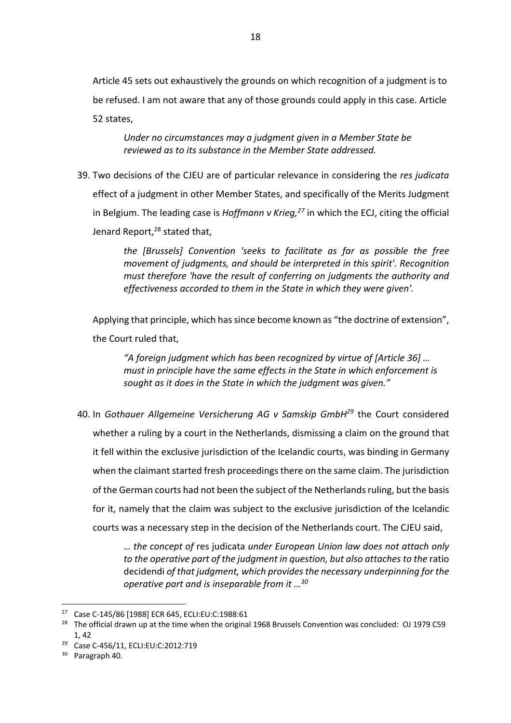Article 45 sets out exhaustively the grounds on which recognition of a judgment is to be refused. I am not aware that any of those grounds could apply in this case. Article 52 states,

*Under no circumstances may a judgment given in a Member State be reviewed as to its substance in the Member State addressed.*

39. Two decisions of the CJEU are of particular relevance in considering the *res judicata*  effect of a judgment in other Member States, and specifically of the Merits Judgment in Belgium. The leading case is *Hoffmann v Krieg*,<sup>27</sup> in which the ECJ, citing the official Jenard Report,<sup>28</sup> stated that,

> *the [Brussels] Convention 'seeks to facilitate as far as possible the free movement of judgments, and should be interpreted in this spirit'. Recognition must therefore 'have the result of conferring on judgments the authority and effectiveness accorded to them in the State in which they were given'.*

Applying that principle, which has since become known as "the doctrine of extension", the Court ruled that,

*"A foreign judgment which has been recognized by virtue of [Article 36] … must in principle have the same effects in the State in which enforcement is sought as it does in the State in which the judgment was given."*

40. In *Gothauer Allgemeine Versicherung AG v Samskip GmbH29* the Court considered whether a ruling by a court in the Netherlands, dismissing a claim on the ground that it fell within the exclusive jurisdiction of the Icelandic courts, was binding in Germany when the claimant started fresh proceedings there on the same claim. The jurisdiction of the German courts had not been the subject of the Netherlands ruling, but the basis for it, namely that the claim was subject to the exclusive jurisdiction of the Icelandic courts was a necessary step in the decision of the Netherlands court. The CJEU said,

> *… the concept of* res judicata *under European Union law does not attach only*  to the operative part of the judgment in question, but also attaches to the ratio decidendi *of that judgment, which provides the necessary underpinning for the operative part and is inseparable from it …30*

<sup>27</sup> Case C-145/86 [1988] ECR 645, ECLI:EU:C:1988:61

<sup>&</sup>lt;sup>28</sup> The official drawn up at the time when the original 1968 Brussels Convention was concluded: OJ 1979 C59 1, 42

<sup>29</sup> Case C-456/11, ECLI:EU:C:2012:719

<sup>&</sup>lt;sup>30</sup> Paragraph 40.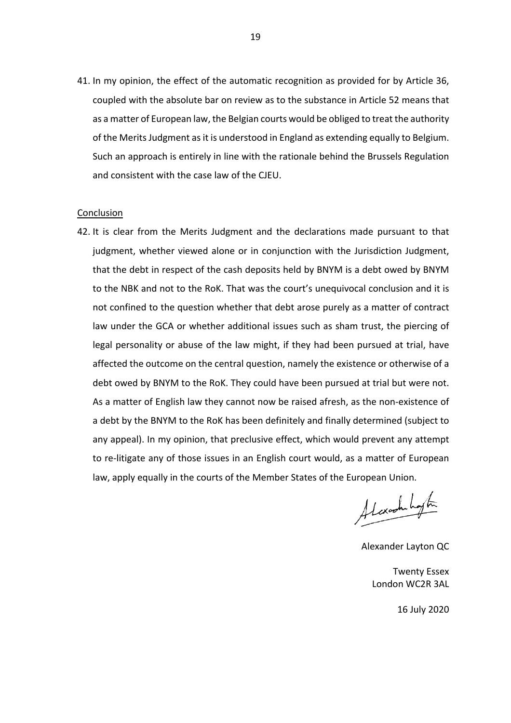41. In my opinion, the effect of the automatic recognition as provided for by Article 36, coupled with the absolute bar on review as to the substance in Article 52 means that as a matter of European law, the Belgian courts would be obliged to treat the authority of the Merits Judgment as it is understood in England as extending equally to Belgium. Such an approach is entirely in line with the rationale behind the Brussels Regulation and consistent with the case law of the CJEU.

#### Conclusion

42. It is clear from the Merits Judgment and the declarations made pursuant to that judgment, whether viewed alone or in conjunction with the Jurisdiction Judgment, that the debt in respect of the cash deposits held by BNYM is a debt owed by BNYM to the NBK and not to the RoK. That was the court's unequivocal conclusion and it is not confined to the question whether that debt arose purely as a matter of contract law under the GCA or whether additional issues such as sham trust, the piercing of legal personality or abuse of the law might, if they had been pursued at trial, have affected the outcome on the central question, namely the existence or otherwise of a debt owed by BNYM to the RoK. They could have been pursued at trial but were not. As a matter of English law they cannot now be raised afresh, as the non-existence of a debt by the BNYM to the RoK has been definitely and finally determined (subject to any appeal). In my opinion, that preclusive effect, which would prevent any attempt to re-litigate any of those issues in an English court would, as a matter of European law, apply equally in the courts of the Member States of the European Union.

Alexandration

Alexander Layton QC

Twenty Essex London WC2R 3AL

16 July 2020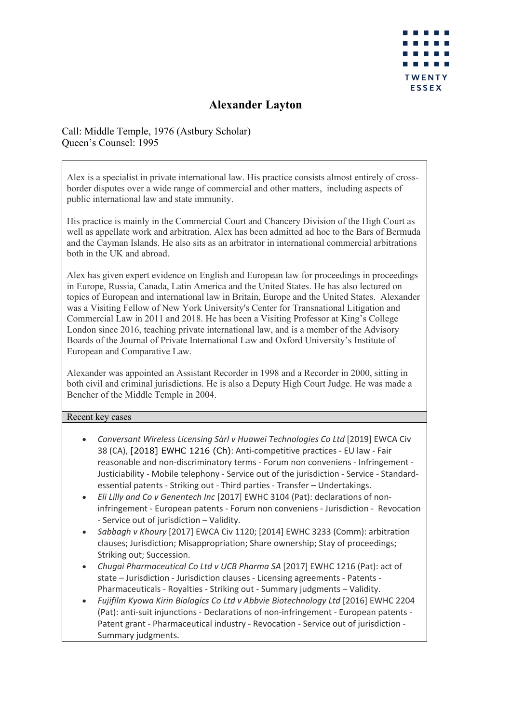

# **Alexander Layton**

Call: Middle Temple, 1976 (Astbury Scholar) Queen's Counsel: 1995

Alex is a specialist in private international law. His practice consists almost entirely of crossborder disputes over a wide range of commercial and other matters, including aspects of public international law and state immunity.

His practice is mainly in the Commercial Court and Chancery Division of the High Court as well as appellate work and arbitration. Alex has been admitted ad hoc to the Bars of Bermuda and the Cayman Islands. He also sits as an arbitrator in international commercial arbitrations both in the UK and abroad.

Alex has given expert evidence on English and European law for proceedings in proceedings in Europe, Russia, Canada, Latin America and the United States. He has also lectured on topics of European and international law in Britain, Europe and the United States. Alexander was a Visiting Fellow of New York University's Center for Transnational Litigation and Commercial Law in 2011 and 2018. He has been a Visiting Professor at King's College London since 2016, teaching private international law, and is a member of the Advisory Boards of the Journal of Private International Law and Oxford University's Institute of European and Comparative Law.

Alexander was appointed an Assistant Recorder in 1998 and a Recorder in 2000, sitting in both civil and criminal jurisdictions. He is also a Deputy High Court Judge. He was made a Bencher of the Middle Temple in 2004.

## Recent key cases

- *Conversant Wireless Licensing Sàrl v Huawei Technologies Co Ltd* [2019] EWCA Civ 38 (CA), [2018] EWHC 1216 (Ch): Anti-competitive practices - EU law - Fair reasonable and non-discriminatory terms - Forum non conveniens - Infringement - Justiciability - Mobile telephony - Service out of the jurisdiction - Service - Standardessential patents - Striking out - Third parties - Transfer – Undertakings.
- *Eli Lilly and Co v Genentech Inc* [2017] EWHC 3104 (Pat): declarations of noninfringement - European patents - Forum non conveniens - Jurisdiction - Revocation - Service out of jurisdiction – Validity.
- *Sabbagh v Khoury* [2017] EWCA Civ 1120; [2014] EWHC 3233 (Comm): arbitration clauses; Jurisdiction; Misappropriation; Share ownership; Stay of proceedings; Striking out; Succession.
- *Chugai Pharmaceutical Co Ltd v UCB Pharma SA* [2017] EWHC 1216 (Pat): act of state – Jurisdiction - Jurisdiction clauses - Licensing agreements - Patents - Pharmaceuticals - Royalties - Striking out - Summary judgments – Validity.
- *Fujifilm Kyowa Kirin Biologics Co Ltd v Abbvie Biotechnology Ltd* [2016] EWHC 2204 (Pat): anti-suit injunctions - Declarations of non-infringement - European patents - Patent grant - Pharmaceutical industry - Revocation - Service out of jurisdiction - Summary judgments.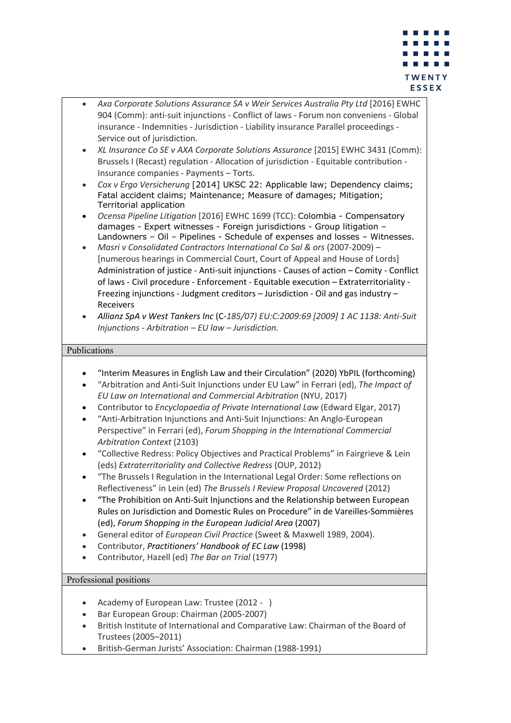

- *Axa Corporate Solutions Assurance SA v Weir Services Australia Pty Ltd* [2016] EWHC 904 (Comm): anti-suit injunctions - Conflict of laws - Forum non conveniens - Global insurance - Indemnities - Jurisdiction - Liability insurance Parallel proceedings - Service out of jurisdiction.
- *XL Insurance Co SE v AXA Corporate Solutions Assurance* [2015] EWHC 3431 (Comm): Brussels I (Recast) regulation - Allocation of jurisdiction - Equitable contribution - Insurance companies - Payments – Torts.
- *Cox v Ergo Versicherung* [2014] UKSC 22: Applicable law; Dependency claims; Fatal accident claims; Maintenance; Measure of damages; Mitigation; Territorial application
- *Ocensa Pipeline Litigation* [2016] EWHC 1699 (TCC): Colombia Compensatory damages - Expert witnesses - Foreign jurisdictions - Group litigation – Landowners – Oil – Pipelines - Schedule of expenses and losses – Witnesses.
- *Masri v Consolidated Contractors International Co Sal & ors* (2007-2009) [numerous hearings in Commercial Court, Court of Appeal and House of Lords] Administration of justice - Anti-suit injunctions - Causes of action – Comity - Conflict of laws - Civil procedure - Enforcement - Equitable execution – Extraterritoriality - Freezing injunctions - Judgment creditors – Jurisdiction - Oil and gas industry – Receivers
- *Allianz SpA v West Tankers Inc* (C-*185/07) EU:C:2009:69 [2009] 1 AC 1138: Anti-Suit Injunctions - Arbitration – EU law – Jurisdiction.*

# Publications

- "Interim Measures in English Law and their Circulation" (2020) YbPIL (forthcoming)
- "Arbitration and Anti-Suit Injunctions under EU Law" in Ferrari (ed), *The Impact of EU Law on International and Commercial Arbitration* (NYU, 2017)
- Contributor to *Encyclopaedia of Private International Law* (Edward Elgar, 2017)
- "Anti-Arbitration Injunctions and Anti-Suit Injunctions: An Anglo-European Perspective" in Ferrari (ed), *Forum Shopping in the International Commercial Arbitration Context* (2103)
- "Collective Redress: Policy Objectives and Practical Problems" in Fairgrieve & Lein (eds) *Extraterritoriality and Collective Redress* (OUP, 2012)
- "The Brussels I Regulation in the International Legal Order: Some reflections on Reflectiveness" in Lein (ed) *The Brussels I Review Proposal Uncovered* (2012)
- "The Prohibition on Anti-Suit Injunctions and the Relationship between European Rules on Jurisdiction and Domestic Rules on Procedure" in de Vareilles-Sommières (ed), *Forum Shopping in the European Judicial Area* (2007)
- General editor of *European Civil Practice* (Sweet & Maxwell 1989, 2004).
- Contributor, *Practitioners' Handbook of EC Law* (1998)
- Contributor, Hazell (ed) *The Bar on Trial* (1977)

# Professional positions

- Academy of European Law: Trustee (2012 )
- Bar European Group: Chairman (2005-2007)
- British Institute of International and Comparative Law: Chairman of the Board of Trustees (2005–2011)
- British-German Jurists' Association: Chairman (1988-1991)